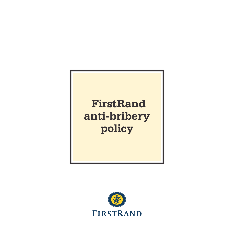

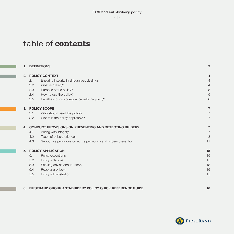**- 1 -**

### table of **contents**

|    | 1. DEFINITIONS                                                |                                                                  | 3                   |
|----|---------------------------------------------------------------|------------------------------------------------------------------|---------------------|
|    | 2.1                                                           | 2. POLICY CONTEXT<br>Ensuring integrity in all business dealings | $\overline{4}$<br>4 |
|    | 2.2                                                           | What is bribery?                                                 | $\overline{4}$      |
|    | 2.3                                                           | Purpose of the policy?                                           | 5                   |
|    | 2.4                                                           | How to use the policy?                                           | 5                   |
|    | 2.5                                                           | Penalties for non compliance with the policy?                    | 6                   |
|    | 3. POLICY SCOPE                                               |                                                                  | 7                   |
|    | 3.1                                                           | Who should heed the policy?                                      | $\overline{7}$      |
|    | 3.2                                                           | Where is the policy applicable?                                  | $\overline{7}$      |
| 4. | <b>CONDUCT PROVISIONS ON PREVENTING AND DETECTING BRIBERY</b> |                                                                  | $\overline{7}$      |
|    | 4.1                                                           | Acting with integrity                                            | $\overline{7}$      |
|    | 4.2                                                           | Types of bribery offences                                        | 8                   |
|    | 4.3                                                           | Supportive provisions on ethics promotion and bribery prevention | 11                  |
| 5. | <b>POLICY APPLICATION</b>                                     |                                                                  | 15                  |
|    | 5.1                                                           | Policy exceptions                                                | 15                  |
|    | 5.2                                                           | Policy violations                                                | 15                  |
|    |                                                               | Seeking advice about bribery                                     | 15                  |
|    | 5.3                                                           |                                                                  |                     |
|    | 5.4                                                           | Reporting bribery                                                | 15                  |

6. FIRSTRAND GROUP ANTI-BRIBERY POLICY QUICK REFERENCE GUIDE

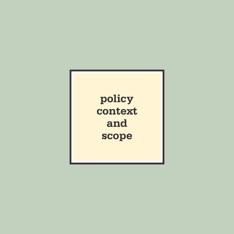**policy context and scope**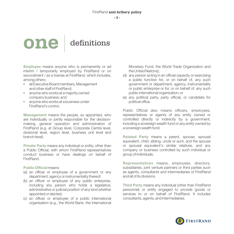**one** definitions

**Employee** means anyone who is permanently or ad interim / temporarily employed by FirstRand or on secondment / as a trainee at FirstRand, which includes, among others:

- all Executive Board members, Management and other staff of FirstRand;
- anyone who works at a majority owned company business; and
- anyone who works at a business under FirstRand's control.

Management means the people, so appointed, who are individually or jointly responsible for the decisionmaking, general operation and administration of FirstRand (e.g. at Group level, Corporate Centre level, divisional level, region level, business unit level and branch level).

Private Party means any individual or entity, other than a Public Official, with whom FirstRand representatives conduct business or have dealings on behalf of **FirstRand** 

#### Public Official means:

- (a) an officer or employee of a government or any department, agency or instrumentality thereof;
- (b) an officer or employee of any public enterprise, including any person who holds a legislative, administrative or judicial position of any kind whether appointed or elected;
- (c) an officer or employee of a public international organisation (e.g., the World Bank, the International

Monetary Fund, the World Trade Organization and the United Nations);

- (d) any person acting in an official capacity or exercising a public function for, or on behalf of, any such government or department, agency, instrumentality or public enterprise or for, or on behalf of, any such public international organization; or
- (e) any political party, party official, or candidate for political office.

Public Official also means officers, employees, representatives or agents of any entity owned or controlled directly or indirectly by a government, including a sovereign wealth fund or any entity owned by a sovereign wealth fund.

**Related Party** means a parent, spouse, spousal equivalent, child, sibling, uncle or aunt, and the spouse or spousal equivalent's similar relatives, and any company or business controlled by such individual or group of individuals.

Representatives means, employees, directors, subsidiaries, joint venture partners or third parties such as agents, consultants and intermediaries of FirstRand and all of its divisions.

**Third Party** means any individual (other than FirstRand personnel) or entity engaged to provide goods or services to or on behalf of FirstRand. It includes consultants, agents, and intermediaries.

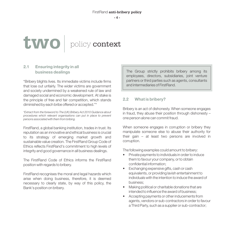### two policy context

#### 2.1 Ensuring integrity in all business dealings

"Bribery blights lives. Its immediate victims include firms that lose out unfairly. The wider victims are government and society undermined by a weakened rule of law and damaged social and economic development. At stake is the principle of free and fair competition, which stands diminished by each bribe offered or accepted."\*

*\*Extract from the foreword to The (UK) Bribery Act 2010 Guidance about procedures which relevant organisations can put in place to prevent persons associated with them from bribing.*

FirstRand, a global banking institution, trades in trust. Its reputation as an innovative and ethical business is crucial to its strategy of emerging market growth and sustainable value creation. The FirstRand Group Code of Ethics reflects FirstRand's commitment to high levels of integrity and good governance in all business dealings.

The FirstRand Code of Ethics informs the FirstRand position with regards to bribery.

FirstRand recognises the moral and legal hazards which arise when doing business, therefore, it is deemed necessary to clearly state, by way of this policy, the Bank's position on bribery.

The Group strictly prohibits bribery among its employees, directors, subsidiaries, joint venture partners or third parties such as agents, consultants and intermediaries of FirstRand.

#### 2.2 What is bribery?

Bribery is an act of dishonesty. When someone engages in fraud, they abuse their position through dishonesty – one person alone can commit fraud.

When someone engages in corruption or bribery they manipulate someone else to abuse their authority for their gain – at least two persons are involved in corruption.

The following examples could amount to bribery:

- $\bullet$  Private payments to individuals in order to induce them to favour your company, or to obtain confidential information;
- Exchanging expensive gifts, cash or cash equivalents, or providing lavish entertainment to individuals with the intention to induce the award of business;
- Making political or charitable donations that are intended to influence the award of business;
- Accepting payments or other inducements from agents, vendors or sub-contractors in order to favour a Third Party, such as a supplier or sub-contractor;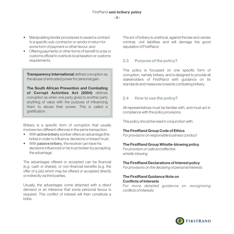- Manipulating tender procedures to award a contract to a specific sub-contractor or vendor in return for some form of payment or other favour; and
- Offering payments or other forms of benefit to a tax or customs official to overlook local taxation or customs requirements.

**Transparency International defines corruption as** the abuse of entrusted power for personal gain.

The South African Prevention and Combating of Corrupt Activities Act (2004) defines corruption as when one party gives to another party anything of value with the purpose of influencing them to abuse their power. This is called a gratification.

Bribery is a specific form of corruption that usually involves two different offences in the same transaction:

- With active bribery a briber offers an advantage (the bribe) in order to influence decisions or breach trust.
- With passive bribery, the receiver can have his decisions influenced or his trust broken by accepting the advantage.

The advantages offered or accepted can be financial (e.g. cash or shares), or non-financial benefits (e.g. the offer of a job) which may be offered or accepted directly or indirectly via third parties.

Usually, the advantages come attached with a direct demand or an inference that some personal favour is required. This conflict of interest will then constitute a bribe.

The act of bribery is unethical, against the law and carries criminal, civil liabilities and will damage the good reputation of FirstRand.

#### 2.3 Purpose of the policy?

This policy is focussed on one specific form of corruption, namely bribery, and is designed to provide all stakeholders of FirstRand with guidance on its standards and measures towards combating bribery.

#### 2.4 How to use the policy?

All representatives must be familiar with, and must act in compliance with the policy provisions.

This policy should be read in conjunction with:

#### The FirstRand Group Code of Ethics

*For provisions on responsible business conduct*

#### The FirstRand Group Whistle-blowing policy

*For provision on safe and effective whistle-blowing*

#### The FirstRand Declarations of Interest policy

*For provisions on the declaring of personal interests*

#### The FirstRand Guidance Note on Conflicts of Interests

*For more detailed guidance on recognising conflicts of interests*

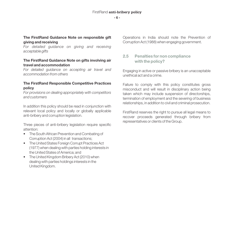#### The FirstRand Guidance Note on responsible gift giving and receiving

*For detailed guidance on giving and receiving acceptable gifts*

#### The FirstRand Guidance Note on gifts involving air travel and accommodation

*For detailed guidance on accepting air travel and accommodation from others* 

#### The FirstRand Responsible Competitive Practices policy

*For provisions on dealing appropriately with competitors and customers*

In addition this policy should be read in conjunction with relevant local policy and locally or globally applicable anti-bribery and corruption legislation.

Three pieces of anti-bribery legislation require specific attention:

- The South African Prevention and Combating of Corruption Act (2004) in all transactions;
- The United States Foreign Corrupt Practices Act (1977) when dealing with parties holding interests in the United States of America; and
- The United Kingdom Bribery Act (2010) when dealing with parties holdings interests in the United Kingdom.

Operations in India should note the Prevention of Corruption Act (1988) when engaging government.

#### 2.5 Penalties for non compliance with the policy?

Engaging in active or passive bribery is an unacceptable unethical act and a crime.

Failure to comply with this policy constitutes gross misconduct and will result in disciplinary action being taken which may include suspension of directorships, termination of employment and the severing of business relationships, in addition to civil and criminal prosecution.

FirstRand reserves the right to pursue all legal means to recover proceeds generated through bribery from representatives or clients of the Group.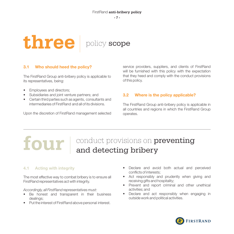**three**

policy scope

#### 3.1 Who should heed the policy?

The FirstRand Group anti-bribery policy is applicable to its representatives, being:

- Employees and directors;
- Subsidiaries and joint venture partners; and •
- Certain third parties such as agents, consultants and intermediaries of FirstRand and all of its divisions.

Upon the discretion of FirstRand management selected

service providers, suppliers, and clients of FirstRand will be furnished with this policy with the expectation that they heed and comply with the conduct provisions of this policy.

#### 3.2 Where is the policy applicable?

The FirstRand Group anti-bribery policy is applicable in all countries and regions in which the FirstRand Group operates.

# four and detecting bribery

#### 4.1 Acting with integrity

The most effective way to combat bribery is to ensure all FirstRand representatives act with integrity.

*Accordingly, all FirstRand representatives must:*

- Be honest and transparent in their business dealings;
- Put the interest of FirstRand above personal interest.
- Declare and avoid both actual and perceived conflicts of interests;
- Act responsibly and prudently when giving and receiving gifts and hospitality;
- Prevent and report criminal and other unethical activities; and
- Declare and act responsibly when engaging in outside work and political activities.

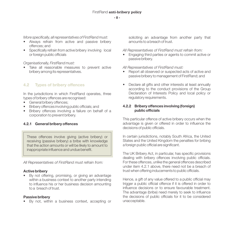*More specifically, all representatives of FirstRand must:*

- Always refrain from active and passive bribery offences; and
- Specifically refrain from active bribery involving local or foreign public officials

*Organisationally, FirstRand must:*

Take all reasonable measures to prevent active bribery among its representatives.

#### 4.2 Types of bribery offences

In the jurisdictions in which FirstRand operates, three types of bribery offences are recognised:

- General bribery offences;
- Bribery offences involving public officials; and
- Bribery offences involving a failure on behalf of a corporation to prevent bribery.

#### 4.2.1 General bribery offences

These offences involve giving (active bribery) or receiving (passive bribery) a bribe with knowledge that the action amounts or will be likely to amount to inappropriate influence and undue benefit.

*All Representatives of FirstRand must refrain from:*

#### Active bribery

• By not offering, promising, or giving an advantage within a business context to another party intending to influence his or her business decision amounting to a breach of trust.

#### Passive bribery

• By not, within a business context, accepting or

soliciting an advantage from another party that amounts to a breach of trust.

*All Representatives of FirstRand must refrain from:*

• Engaging third parties or agents to commit active or passive bribery.

*All Representatives of FirstRand must:*

- Report all observed or suspected acts of active and passive bribery to management of FirstRand; and
- Declare all gifts and other interests at least annually according to the conduct provisions of the Group Declaration of Interests Policy and local policy or regulatory requirements.

#### 4.2.2 Bribery offences involving (foreign) public officials

This particular offence of active bribery occurs when the advantage is given or offered in order to influence the decisions of public officials.

In certain jurisdictions, notably South Africa, the United States and the United Kingdom the penalties for bribing a foreign public official are significant.

The UK Bribery Act, in particular, has specific provisions dealing with bribery offences involving public officials. For these offences, unlike the general offences described under item 4.2.1 above, there need not be a breach of trust when offering inducements to public officials.

Hence, a gift of any value offered to a public official may trigger a public official offence if it is offered in order to influence decisions or to ensure favourable treatment. The advantage (bribe) need merely to seek to influence the decisions of public officials for it to be considered unacceptable.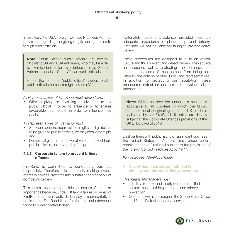In addition, the USA Foreign Corrupt Practices Act has provisions regarding the giving of gifts and gratuities to foreign public officials.

Note: South African public officials are foreign officials to UK and USA enforcers, who may be able to exercise jurisdiction over bribes paid by South African nationals to South African public officials.

Hence the reference 'public official' applies to all public officials, local or foreign to South Africa.

#### *All Representatives of FirstRand must refrain from:*

• Offering, giving, or promising an advantage to any public official in order to influence or to ensure favourable treatment or in order to influence their decisions.

*All Representatives of FirstRand must:*

- Seek and acquire approval for all gifts and gratuities to be given to public officials, be they local or foreign; and
- Declare all gifts, irrespective of value, received from public officials, be they local or foreign.

#### 4.2.3 Corporate failure to prevent bribery offences

FirstRand is committed to conducting business responsibly. Therefore it is continually making investments in policies, systems and human capital capable of combating bribery.

This commitment to responsible business is of particular importance because, under UK law, a failure on behalf of FirstRand to prevent active bribery by its representatives could make FirstRand liable for the criminal offence of failing to prevent active bribery.

Fortunately, there is a defence: provided there are adequate procedures in place to prevent bribery, FirstRand will not be liable for failing to prevent active bribery.

These procedures are designed to build an ethical culture and thus prevent and detect bribery. They act like an insurance policy, protecting the business and innocent members of management from being held liable for the actions of other FirstRand representatives. In addition to protecting our reputation, these procedures protect our business and add value to all our transactions.

**Note:** While the provision under this section is applicable to all countries in which the Group operates, deals originating from the UK or deals facilitated by our FirstRand UK office are directly subject to the Corporate Offences provisions of the UK Bribery Act of 2010.

Deal partners with public listing or significant business in the United States of America may, under certain conditions make FirstRand subject to the provisions of the Foreign Corrupt Practices Act of 1977.

#### *Every division of FirstRand must:*

A) Clearly demonstrate commitment to ethics promotion and bribery prevention

*This means all managers must:*

- Lead by example and clearly demonstrate their commitment to ethics promotion and bribery prevention;
- Cooperate with, and support the Group Ethics Office and Fraud Risk Management services;

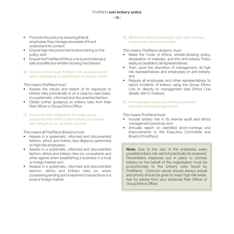- Promote this policy by ensuring that all employees they manage are aware of it and understand its content;
- Ensure high risk personnel receive training on the policy; and
- Ensure the FirstRand Ethics Line is promoted as a safe and effective whistle-blowing mechanism.
- B) Conduct thorough bribery risk assessments when engaging in significant business deals

#### *This means FirstRand must:*

- Assess the nature and extent of its exposure to bribery risks periodically or on a case by case basis, in a systematic, informed and documented fashion;
- Obtain further guidance on bribery risks from their Risk Officer or Group Ethics Office.
- C) Conduct risk mitigation through using proportionate ethics and bribery focussed due diligence on specific parties

#### *This means all FirstRand divisions must:*

- Assess in a systematic, informed and documented fashion, ethics and bribery due diligence performed on high risk employees;
- Assess in a systematic, informed and documented fashion, ethics and bribery risks on, consultants and other agents when establishing a business in a local or foreign market; and
- Assess in a systematic, informed and documented fashion, ethics and bribery risks on, when considering lending and investment transactions in a local or foreign market.

#### D) Maintain ethics promotion and anti-bribery awareness and knowledge

#### *This means FirstRand divisions must:*

- Make the Code of Ethics, whistle-blowing policy, declaration of interests, and this Anti-bribery Policy easily accessible to all representatives;
- Train, upon the discretion of management, all high risk representatives and employees on anti-bribery; and
- Require all employees and other representatives to report incidents of bribery using the Group Ethics Line or directly to management (see Ethics Line details, item 5.4 below).
- E) Periodically review its ethics promotion and anti-bribery programme

#### *This means FirstRand must:*

- Include bribery risk in its internal audit and ethics management practices; and
- Annually report on identified short-comings and improvements to the Executive Committee and Board of FirstRand.

Note: Due to the size of the enterprise every possible bribery risk cannot practically be reviewed. Preventative measures put in place to combat bribery on the behalf of the organisation must be proportionate to the bribery risks faced by FirstRand. Common sense should always prevail and priority should be given to major high risk areas. Ask for advice from your divisional Risk Officer or Group Ethics Officer.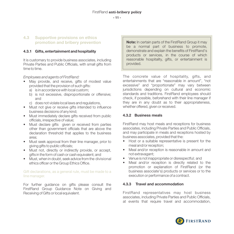#### 4.3 Supportive provisions on ethics promotion and bribery prevention

#### 4.3.1 Gifts, entertainment and hospitality

It is customary to provide business associates, including Private Parties and Public Officials, with small gifts from time to time.

*Employees and agents of FirstRand:* 

- May provide, and receive, gifts of modest value provided that the provision of such gifts:
	- a) is in accordance with local custom;
	- b) is not excessive, disproportionate or offensive; and
	- c) does not violate local laws and regulations,
- Must not give or receive gifts intended to influence business decisions of any kind;
- Must immediately declare gifts received from public officials, irrespective of value;
- Must declare gifts given or received from parties other than government officials that are above the declaration threshold that applies to the business area;
- Must seek approval from their line manager, prior to giving gifts to public officials;
- Must not, directly or indirectly provide, or accept, gifts in the form of cash or cash equivalent; and
- Must, when in doubt, seek advice from the divisional ethics officer or the Group Ethics Office.

#### Gift declarations, as a general rule, must be made to a line manager.

For further guidance on gifts please consult the FirstRand Group Guidance Note on Giving and Receiving of Gifts or local equivalent.

Note: In certain parts of the FirstRand Group it may be a normal part of business to promote, demonstrate and explain the benefits of FirstRand's products or services, in the course of which reasonable hospitality, gifts, or entertainment is provided.

The concrete value of hospitality, gifts, and entertainments that are "reasonable in amount", "not excessive" and "proportionate" may vary between jurisdictions depending on cultural and economic standards and traditions. FirstRand employees should check, if possible, beforehand with their line manager if they are in any doubt as to their appropriateness, whether offered, given or received.

#### 4.3.2 Business meals

FirstRand may host meals and receptions for business associates, including Private Parties and Public Officials, and may participate in meals and receptions hosted by business associates, provided that the:

- Host or a suitable representative is present for the meal and/or reception;
- Meal and/or reception is reasonable in amount and not extravagant;
- Venue is not inappropriate or disrespectful; and
- Meal and/or reception is directly related to the promotion or explanation of FirstRand (or the business associate's) products or services or to the execution or performance of a contract.

#### 4.3.3 Travel and accommodation

FirstRand representatives may host business associates, including Private Parties and Public Officials, at events that require travel and accommodation,

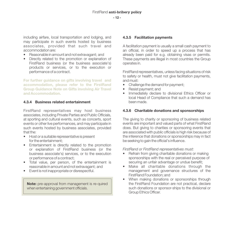including airfare, local transportation and lodging, and may participate in such events hosted by business associates, provided that such travel and accommodation are:

- Reasonable in amount and not extravagant; and
- Directly related to the promotion or explanation of FirstRand business (or the business associate's) products or services, or to the execution or performance of a contract.

For further guidance on gifts involving travel and accommodation, please refer to the FirstRand Group Guidance Note on Gifts involving Air Travel and Accommodation.

#### 4.3.4 Business related entertainment

FirstRand representatives may host business associates, including Private Parties and Public Officials, at sporting and cultural events, such as concerts, sport events or other live performances, and may participate in such events hosted by business associates, provided that the:

- Host or a suitable representative is present for the entertainment;
- Entertainment is directly related to the promotion or explanation of FirstRand business (or the business associate's) services, or to the execution or performance of a contract;
- Total value, per person, of the entertainment is reasonable in amount and not extravagant; and
- Event is not inappropriate or disrespectful.

Note: pre-approval from management is re-quired when entertaining government officials.

#### 4.3.5 Facilitation payments

A facilitation payment is usually a small cash payment to an official, in order to speed up a process that has already been paid for e.g. obtaining visas or permits. These payments are illegal in most countries the Group operates in.

FirstRand representatives, unless facing situations of risk to safety or health, must not give facilitation payments, and must:

- Challenge the demand for payment;
- Resist payment: and
- Immediately declare to divisional Ethics Officer or local Head of Compliance that such a demand has been made.

#### 4.3.6 Charitable donations and sponsorships

The giving to charity or sponsoring of business related events are important and valued parts of what FirstRand does. But giving to charities or sponsoring events that are associated with public officials is high risk because of the inference that donations or sponsorships may in fact be seeking to gain the official's influence.

*FirstRand or FirstRand representatives must:* 

- Refrain from giving charitable donations or making sponsorships with the real or perceived purpose of securing an unfair advantage or undue benefit;
- Make all charitable donations through the management and governance structures of the FirstRand Foundation; and
- When making donations or sponsorships through the FirstRand Foundation are not practical, declare such donations or sponsor-ships to the divisional or Group Ethics Officer.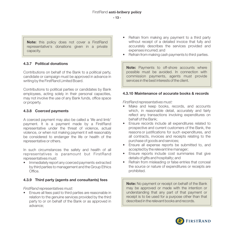Note: this policy does not cover a FirstRand representative's donations given in a private capacity.

#### 4.3.7 Political donations

Contributions on behalf of the Bank to a political party, candidate or campaign must be approved in advance in writing by the FirstRand Limited Board.

Contributions to political parties or candidates by Bank employees, acting solely in their personal capacities, may not involve the use of any Bank funds, office space or property.

#### 4.3.8 Coerced payments

A coerced payment may also be called a 'life and limb' payment. It is a payment made by a FirstRand representative under the threat of violence, actual violence, or when not making payment it will reasonably be considered to endanger the life or health of the representative or others.

In such circumstances the safety and health of all representatives is paramount but FirstRand representatives must:

• Immediately report any coerced payments extracted by third parties to management and the Group Ethics **Office** 

#### 4.3.9 Third party (agents and consultants) fees

*FirstRand representatives must:*

• Ensure all fees paid to third parties are reasonable in relation to the genuine services provided by the third party to or on behalf of the Bank or as approved in advance;

- Refrain from making any payment to a third party without receipt of a detailed invoice that fully and accurately describes the services provided and expenses incurred; and
- Refrain from making cash payments to third parties.

**Note:** Payments to off-shore accounts where possible must be avoided. In connection with commission payments, agents must provide services in the best interests of the client.

#### 4.3.10 Maintenance of accurate books & records

*FirstRand representatives must:*

- Make and keep books, records, and accounts which, in reasonable detail, accurately and fairly reflect any transactions involving expenditures on behalf of the Bank;
- Ensure records include all expenditures related to prospective and current customers of the Bank, the reasons or justifications for such expenditures, and all contracts, invoices and receipts relating to the purchase of goods and services;
- Ensure all expense reports be submitted to, and accepted by the relevant line manager;
- Ensure reports include cost summaries that give details of gifts and hospitality; and
- Refrain from misleading or false entries that conceal the source or nature of expenditures or receipts are prohibited.

**Note:** No payment or receipt on behalf of the Bank may be approved or made with the intention or understanding that any part of that payment or receipt is to be used for a purpose other than that described in the relevant books and records.

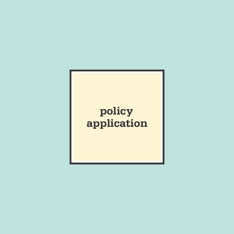# **policy application**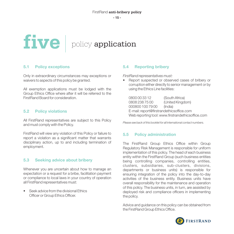### five policy application

#### 5.1 Policy exceptions

Only in extraordinary circumstances may exceptions or waivers to aspects of this policy be granted.

All exemption applications must be lodged with the Group Ethics Office where after it will be referred to the FirstRand Board for consideration.

#### 5.2 Policy violations

All FirstRand representatives are subject to this Policy and must comply with the Policy.

FirstRand will view any violation of this Policy or failure to report a violation as a significant matter that warrants disciplinary action, up to and including termination of employment.

#### 5.3 Seeking advice about bribery

Whenever you are uncertain about how to manage an expectation or a request for a bribe, facilitation payment or compliance to local laws in your country of operation all FirstRand representatives must:

• Seek advice from the divisional Ethics Officer or Group Ethics Officer.

#### 5.4 Reporting bribery

*FirstRand representatives must:*

• Report suspected or observed cases of bribery or corruption either directly to senior management or by using the Ethics Line facilities:

0800 00 33 12 (South Africa)<br>0808 238 75 00 (United Kingde (United Kingdom) 000800 100 79 00 (India) E-mail: report@firstrandethicsoffice.com Web reporting tool: www.firstrandethicsoffice.com

*Please see back of this booklet for all international contact numbers.*

#### 5.5 Policy administration

The FirstRand Group Ethics Office within Group Regulatory Risk Management is responsible for uniform implementation of this policy. The head of each business entity within the FirstRand Group (such business entities being controlling companies, controlling entities, clusters, subsidiaries, sub-clusters, divisions, departments or business units) is responsible for ensuring integration of the policy into the day-to-day activities of the business entity. Business units have overall responsibility for the maintenance and operation of this policy. The business units, in turn, are assisted by deployed risk and compliance officers in implementing the policy.

Advice and guidance on this policy can be obtained from the FirstRand Group Ethics Office.

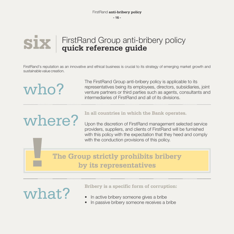# **six** FirstRand Group anti-bribery policy **quick reference guide**

FirstRand's reputation as an innovative and ethical business is crucial to its strategy of emerging market growth and sustainable value creation.

The FirstRand Group anti-bribery policy is applicable to its representatives being its employees, directors, subsidiaries, joint **VVICES**<br>
venture partners or third parties such as agents, consultants and intermediaries of Eirst Rand and all of its divisions intermediaries of FirstRand and all of its divisions.

### where?

**In all countries in which the Bank operates.**

Upon the discretion of FirstRand management selected service providers, suppliers, and clients of FirstRand will be furnished with this policy with the expectation that they heed and comply with the conduction provisions of this policy.

### **The Group strictly prohibits bribery by its representatives**

### what?

**Bribery is a specific form of corruption:**

- In active bribery someone gives a bribe
- In passive bribery someone receives a bribe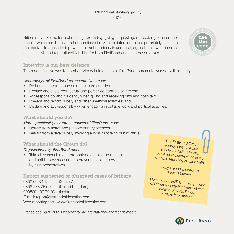Bribes may take the form of offering, promising, giving, requesting, or receiving of an undue benefit, which can be financial or non financial, with the intention to inappropriately influence the receiver to abuse their power. The act of bribery is unethical, against the law and carries criminal, civil, and reputational liabilities for both FirstRand and its representatives.

#### **Integrity is our best defence**

The most effective way to combat bribery is to ensure all FirstRand representatives act with integrity.

#### *Accordingly, all FirstRand representatives must:*

- Be honest and transparent in their business dealings;
- Declare and avoid both actual and perceived conflicts of interest;
- Act responsibly and prudently when giving and receiving gifts and hospitality;
- Prevent and report bribery and other unethical activities; and
- Declare and act responsibly when engaging in outside work and political activities.

#### **What should you do?**

#### *More specifically, all representatives of FirstRand must:*

- Refrain from active and passive bribery offences
- Refrain from active bribery involving a local or foreign public official

#### **What should the Group do?**

#### *and must: Organisationally, FirstR*

• Take all reasonable and proportionate ethics promotion and anti-bribery measures to prevent active bribery by its representatives.

#### **Report suspected or observed cases of bribery:**

0800 00 33 12 (South Africa) 0808 238 75 00 (United Kingdom) 000800 100 79 00 (India)

E-mail: report@firstrandethicsoffice.com

Web reporting tool: www.firstrandethicsoffice.com

*Please see back of this booklet for all international contact numbers.*

The FirstRand Group encourages safe and effective whistle-blowing we will not tolerate victimisation of those reporting in good faith.

Always report suspected cases of bribery.

Consult the FirstRand Group Code<br>of Ethics and the FirstR of Ethics and the FirstRand Code<br>Whistle-blowing B. *w* Whistle-blowing Policy for more information.